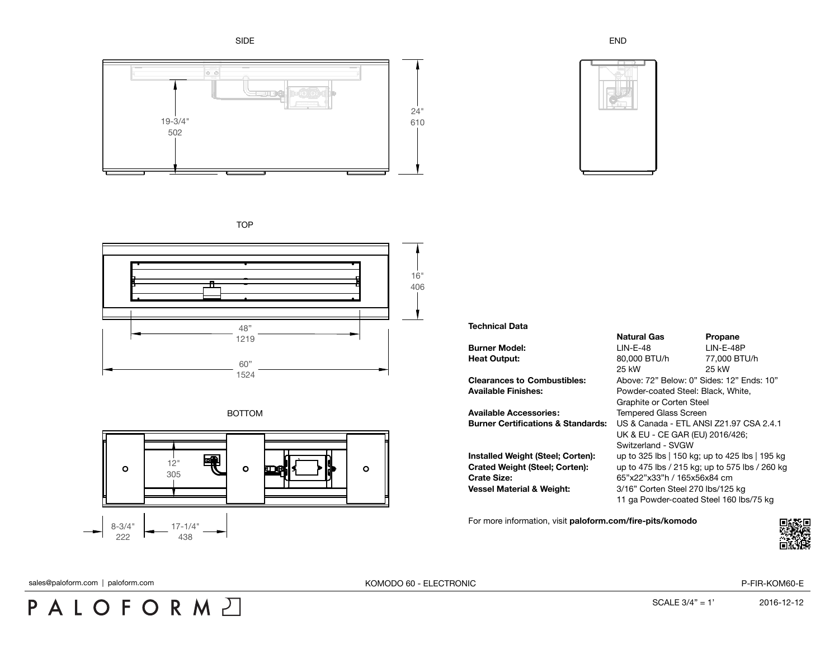SIDE



END



**TOP** 







**Technical Data**

**Available Accessories:** Tempered Glass Screen

**Crate Size:** 65"x22"x33"h / 165x56x84 cm **Vessel Material & Weight:** 3/16" Corten Steel 270 lbs/125 kg

**Natural Gas Propane Burner Model:** LIN-E-48 LIN-E-48P **Heat Output:** 80,000 BTU/h 77,000 BTU/h 25 kW 25 kW **Clearances to Combustibles:** Above: 72" Below: 0" Sides: 12" Ends: 10" **Available Finishes:** Powder-coated Steel: Black, White, Graphite or Corten Steel **Burner Certifications & Standards:** US & Canada - ETL ANSI Z21.97 CSA 2.4.1 UK & EU - CE GAR (EU) 2016/426; Switzerland - SVGW **Installed Weight (Steel; Corten):** up to 325 lbs | 150 kg; up to 425 lbs | 195 kg **Crated Weight (Steel; Corten):** up to 475 lbs / 215 kg; up to 575 lbs / 260 kg 11 ga Powder-coated Steel 160 lbs/75 kg

For more information, visit **[paloform.com/fire-pits/komodo](http://paloform.com/fire-pits/komodo)**



## PALOFORMA

sales@paloform.com | paloform.com | paloform.com | paloform.com | paloform.com | paloform.com | paloform.com | paloform.com | paloform.com | paloform.com | paloform.com | paloform.com | paloform.com | paloform.com | palofo